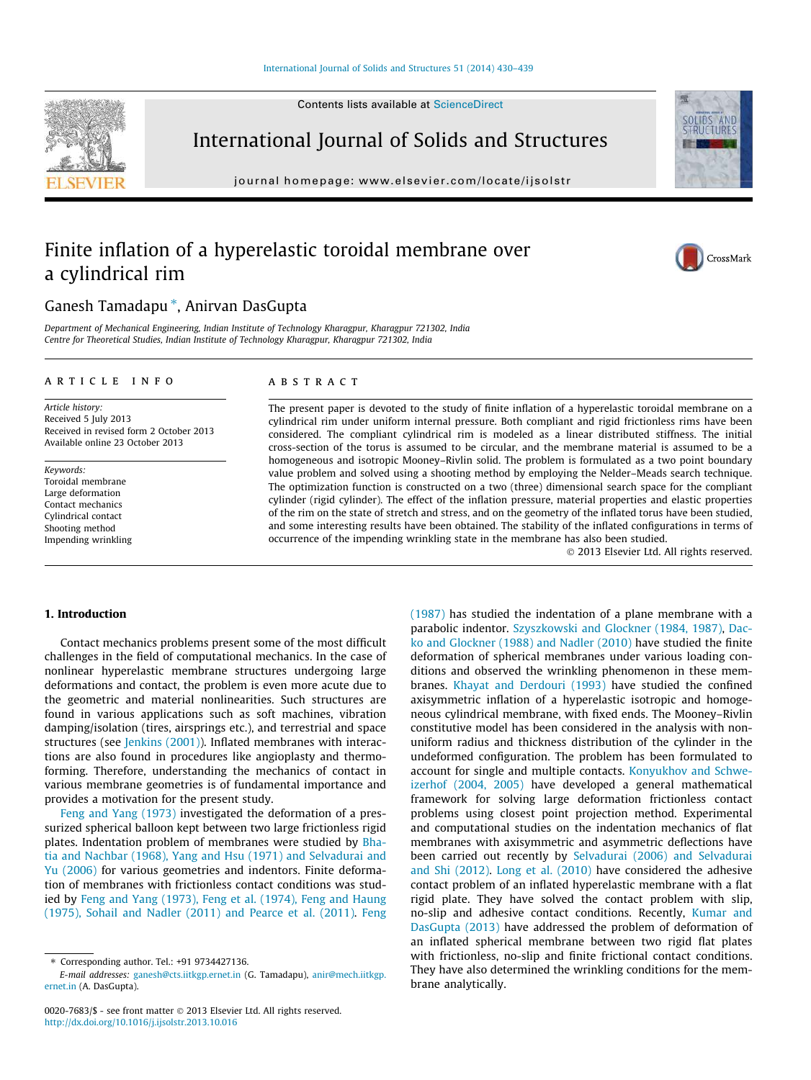#### International Journal of Solids and Structures 51 (2014) 430–439

Contents lists available at ScienceDirect

International Journal of Solids and Structures

journal homepage: www.elsevier.com/locate/ijsolstr

# Finite inflation of a hyperelastic toroidal membrane over a cylindrical rim

# Ganesh Tamadapu <sup>\*</sup>, Anirvan DasGupta

Department of Mechanical Engineering, Indian Institute of Technology Kharagpur, Kharagpur 721302, India Centre for Theoretical Studies, Indian Institute of Technology Kharagpur, Kharagpur 721302, India

#### article info

Article history: Received 5 July 2013 Received in revised form 2 October 2013 Available online 23 October 2013

Keywords: Toroidal membrane Large deformation Contact mechanics Cylindrical contact Shooting method Impending wrinkling

## ABSTRACT

The present paper is devoted to the study of finite inflation of a hyperelastic toroidal membrane on a cylindrical rim under uniform internal pressure. Both compliant and rigid frictionless rims have been considered. The compliant cylindrical rim is modeled as a linear distributed stiffness. The initial cross-section of the torus is assumed to be circular, and the membrane material is assumed to be a homogeneous and isotropic Mooney–Rivlin solid. The problem is formulated as a two point boundary value problem and solved using a shooting method by employing the Nelder–Meads search technique. The optimization function is constructed on a two (three) dimensional search space for the compliant cylinder (rigid cylinder). The effect of the inflation pressure, material properties and elastic properties of the rim on the state of stretch and stress, and on the geometry of the inflated torus have been studied, and some interesting results have been obtained. The stability of the inflated configurations in terms of occurrence of the impending wrinkling state in the membrane has also been studied.

 $@$  2013 Elsevier Ltd. All rights reserved.

# 1. Introduction

Contact mechanics problems present some of the most difficult challenges in the field of computational mechanics. In the case of nonlinear hyperelastic membrane structures undergoing large deformations and contact, the problem is even more acute due to the geometric and material nonlinearities. Such structures are found in various applications such as soft machines, vibration damping/isolation (tires, airsprings etc.), and terrestrial and space structures (see Jenkins (2001)). Inflated membranes with interactions are also found in procedures like angioplasty and thermoforming. Therefore, understanding the mechanics of contact in various membrane geometries is of fundamental importance and provides a motivation for the present study.

Feng and Yang (1973) investigated the deformation of a pressurized spherical balloon kept between two large frictionless rigid plates. Indentation problem of membranes were studied by Bhatia and Nachbar (1968), Yang and Hsu (1971) and Selvadurai and Yu (2006) for various geometries and indentors. Finite deformation of membranes with frictionless contact conditions was studied by Feng and Yang (1973), Feng et al. (1974), Feng and Haung (1975), Sohail and Nadler (2011) and Pearce et al. (2011). Feng (1987) has studied the indentation of a plane membrane with a parabolic indentor. Szyszkowski and Glockner (1984, 1987), Dacko and Glockner (1988) and Nadler (2010) have studied the finite deformation of spherical membranes under various loading conditions and observed the wrinkling phenomenon in these membranes. Khayat and Derdouri (1993) have studied the confined axisymmetric inflation of a hyperelastic isotropic and homogeneous cylindrical membrane, with fixed ends. The Mooney–Rivlin constitutive model has been considered in the analysis with nonuniform radius and thickness distribution of the cylinder in the undeformed configuration. The problem has been formulated to account for single and multiple contacts. Konyukhov and Schweizerhof (2004, 2005) have developed a general mathematical framework for solving large deformation frictionless contact problems using closest point projection method. Experimental and computational studies on the indentation mechanics of flat membranes with axisymmetric and asymmetric deflections have been carried out recently by Selvadurai (2006) and Selvadurai and Shi (2012). Long et al. (2010) have considered the adhesive contact problem of an inflated hyperelastic membrane with a flat rigid plate. They have solved the contact problem with slip, no-slip and adhesive contact conditions. Recently, Kumar and DasGupta (2013) have addressed the problem of deformation of an inflated spherical membrane between two rigid flat plates with frictionless, no-slip and finite frictional contact conditions. They have also determined the wrinkling conditions for the membrane analytically.







<sup>⇑</sup> Corresponding author. Tel.: +91 9734427136.

E-mail addresses: ganesh@cts.iitkgp.ernet.in (G. Tamadapu), anir@mech.iitkgp. ernet.in (A. DasGupta).

<sup>0020-7683/\$ -</sup> see front matter @ 2013 Elsevier Ltd. All rights reserved. http://dx.doi.org/10.1016/j.ijsolstr.2013.10.016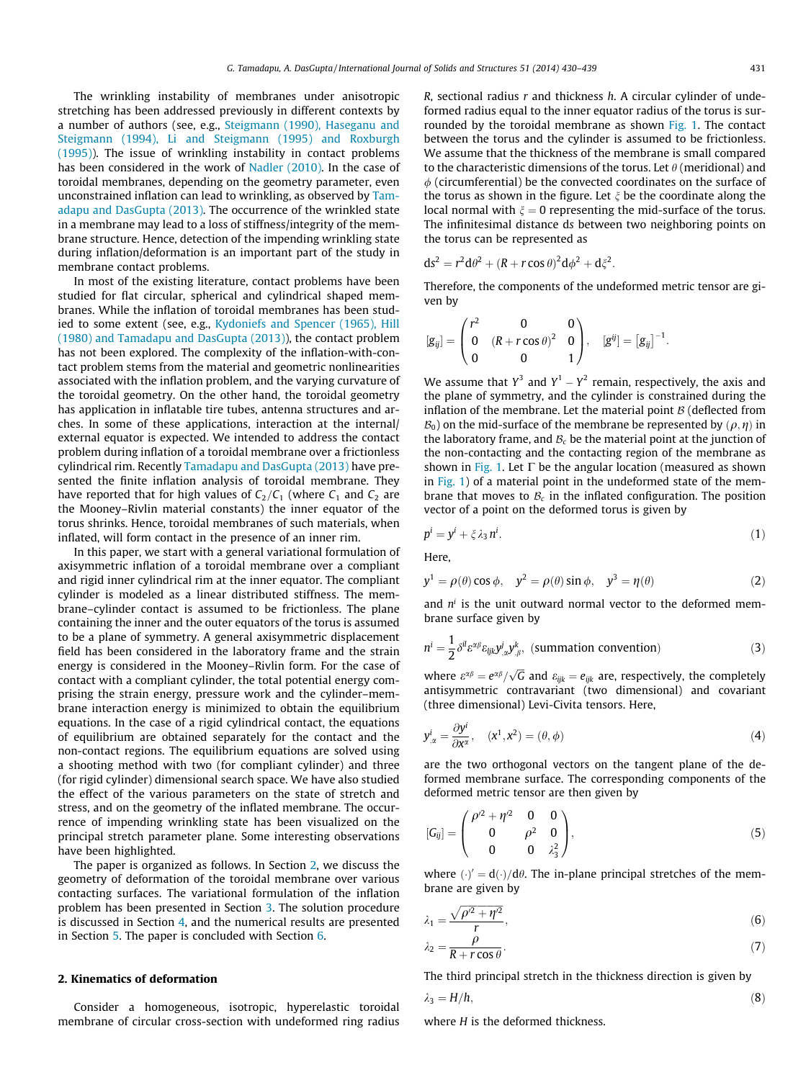The wrinkling instability of membranes under anisotropic stretching has been addressed previously in different contexts by a number of authors (see, e.g., Steigmann (1990), Haseganu and Steigmann (1994), Li and Steigmann (1995) and Roxburgh (1995)). The issue of wrinkling instability in contact problems has been considered in the work of Nadler (2010). In the case of toroidal membranes, depending on the geometry parameter, even unconstrained inflation can lead to wrinkling, as observed by Tamadapu and DasGupta (2013). The occurrence of the wrinkled state in a membrane may lead to a loss of stiffness/integrity of the membrane structure. Hence, detection of the impending wrinkling state during inflation/deformation is an important part of the study in membrane contact problems.

In most of the existing literature, contact problems have been studied for flat circular, spherical and cylindrical shaped membranes. While the inflation of toroidal membranes has been studied to some extent (see, e.g., Kydoniefs and Spencer (1965), Hill (1980) and Tamadapu and DasGupta (2013)), the contact problem has not been explored. The complexity of the inflation-with-contact problem stems from the material and geometric nonlinearities associated with the inflation problem, and the varying curvature of the toroidal geometry. On the other hand, the toroidal geometry has application in inflatable tire tubes, antenna structures and arches. In some of these applications, interaction at the internal/ external equator is expected. We intended to address the contact problem during inflation of a toroidal membrane over a frictionless cylindrical rim. Recently Tamadapu and DasGupta (2013) have presented the finite inflation analysis of toroidal membrane. They have reported that for high values of  $C_2/C_1$  (where  $C_1$  and  $C_2$  are the Mooney–Rivlin material constants) the inner equator of the torus shrinks. Hence, toroidal membranes of such materials, when inflated, will form contact in the presence of an inner rim.

In this paper, we start with a general variational formulation of axisymmetric inflation of a toroidal membrane over a compliant and rigid inner cylindrical rim at the inner equator. The compliant cylinder is modeled as a linear distributed stiffness. The membrane–cylinder contact is assumed to be frictionless. The plane containing the inner and the outer equators of the torus is assumed to be a plane of symmetry. A general axisymmetric displacement field has been considered in the laboratory frame and the strain energy is considered in the Mooney–Rivlin form. For the case of contact with a compliant cylinder, the total potential energy comprising the strain energy, pressure work and the cylinder–membrane interaction energy is minimized to obtain the equilibrium equations. In the case of a rigid cylindrical contact, the equations of equilibrium are obtained separately for the contact and the non-contact regions. The equilibrium equations are solved using a shooting method with two (for compliant cylinder) and three (for rigid cylinder) dimensional search space. We have also studied the effect of the various parameters on the state of stretch and stress, and on the geometry of the inflated membrane. The occurrence of impending wrinkling state has been visualized on the principal stretch parameter plane. Some interesting observations have been highlighted.

The paper is organized as follows. In Section 2, we discuss the geometry of deformation of the toroidal membrane over various contacting surfaces. The variational formulation of the inflation problem has been presented in Section 3. The solution procedure is discussed in Section 4, and the numerical results are presented in Section 5. The paper is concluded with Section 6.

# 2. Kinematics of deformation

Consider a homogeneous, isotropic, hyperelastic toroidal membrane of circular cross-section with undeformed ring radius R, sectional radius  $r$  and thickness  $h$ . A circular cylinder of undeformed radius equal to the inner equator radius of the torus is surrounded by the toroidal membrane as shown Fig. 1. The contact between the torus and the cylinder is assumed to be frictionless. We assume that the thickness of the membrane is small compared to the characteristic dimensions of the torus. Let  $\theta$  (meridional) and  $\phi$  (circumferential) be the convected coordinates on the surface of the torus as shown in the figure. Let  $\xi$  be the coordinate along the local normal with  $\xi = 0$  representing the mid-surface of the torus. The infinitesimal distance ds between two neighboring points on the torus can be represented as

$$
ds^2 = r^2 d\theta^2 + (R + r \cos \theta)^2 d\phi^2 + d\xi^2.
$$

Therefore, the components of the undeformed metric tensor are given by

$$
[g_{ij}]=\begin{pmatrix}r^2&0&0\\0&(R+r\cos\theta)^2&0\\0&0&1\end{pmatrix},\quad [g^{ij}]=\begin{bmatrix}g_{ij}\end{bmatrix}^{-1}.
$$

We assume that  $Y^3$  and  $Y^1 - Y^2$  remain, respectively, the axis and the plane of symmetry, and the cylinder is constrained during the inflation of the membrane. Let the material point  $\beta$  (deflected from  $B_0$ ) on the mid-surface of the membrane be represented by  $(\rho, \eta)$  in the laboratory frame, and  $B<sub>c</sub>$  be the material point at the junction of the non-contacting and the contacting region of the membrane as shown in Fig. 1. Let  $\Gamma$  be the angular location (measured as shown in Fig. 1) of a material point in the undeformed state of the membrane that moves to  $B_c$  in the inflated configuration. The position vector of a point on the deformed torus is given by

$$
p^i = y^i + \xi \lambda_3 n^i. \tag{1}
$$

Here,

$$
y^{1} = \rho(\theta) \cos \phi, \quad y^{2} = \rho(\theta) \sin \phi, \quad y^{3} = \eta(\theta)
$$
 (2)

and  $n^{i}$  is the unit outward normal vector to the deformed membrane surface given by

$$
n^{i} = \frac{1}{2} \delta^{il} \varepsilon^{\alpha \beta} \varepsilon_{ijk} y^{j}_{,\alpha} y^{k}_{,\beta}, \text{ (summation convention)}
$$
 (3)

where  $\varepsilon^{\alpha\beta} = e^{\alpha\beta}/\sqrt{G}$  and  $\varepsilon_{ijk} = e_{ijk}$  are, respectively, the completely antisymmetric contravariant (two dimensional) and covariant (three dimensional) Levi-Civita tensors. Here,

$$
y_{,\alpha}^i = \frac{\partial y^i}{\partial x^\alpha}, \quad (x^1, x^2) = (\theta, \phi) \tag{4}
$$

are the two orthogonal vectors on the tangent plane of the deformed membrane surface. The corresponding components of the deformed metric tensor are then given by

$$
[G_{ij}] = \begin{pmatrix} \rho'^2 + \eta'^2 & 0 & 0 \\ 0 & \rho^2 & 0 \\ 0 & 0 & \lambda_3^2 \end{pmatrix},
$$
 (5)

where  $(\cdot)' = d(\cdot)/d\theta$ . The in-plane principal stretches of the membrane are given by

$$
\lambda_1 = \frac{\sqrt{\rho'^2 + \eta'^2}}{r},\tag{6}
$$

$$
\lambda_2 = \frac{\rho}{R + r \cos \theta}.\tag{7}
$$

The third principal stretch in the thickness direction is given by

$$
\lambda_3 = H/h,\tag{8}
$$

where *H* is the deformed thickness.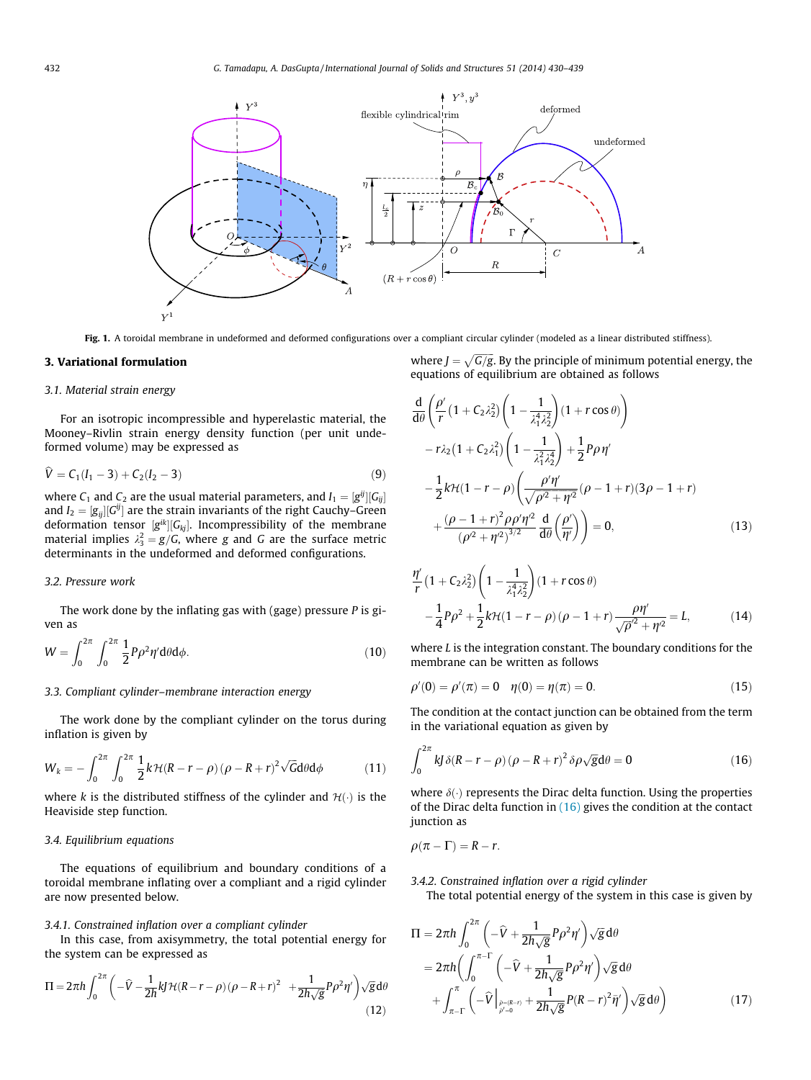

Fig. 1. A toroidal membrane in undeformed and deformed configurations over a compliant circular cylinder (modeled as a linear distributed stiffness).

#### 3. Variational formulation

## 3.1. Material strain energy

For an isotropic incompressible and hyperelastic material, the Mooney–Rivlin strain energy density function (per unit undeformed volume) may be expressed as

$$
\dot{V} = C_1(I_1 - 3) + C_2(I_2 - 3) \tag{9}
$$

where  $C_1$  and  $C_2$  are the usual material parameters, and  $I_1 = [g^{ij}] [G_{ij}]$ and  $I_2 = [g_{ij}][G^{ij}]$  are the strain invariants of the right Cauchy–Green deformation tensor  $[g^{ik}][G_{kj}]$ . Incompressibility of the membrane material implies  $\lambda_3^2 = g/G$ , where g and G are the surface metric determinants in the undeformed and deformed configurations.

# 3.2. Pressure work

 $\overline{a}$ 

The work done by the inflating gas with (gage) pressure  $P$  is given as

$$
W = \int_0^{2\pi} \int_0^{2\pi} \frac{1}{2} P \rho^2 \eta' d\theta d\phi.
$$
 (10)

# 3.3. Compliant cylinder–membrane interaction energy

The work done by the compliant cylinder on the torus during inflation is given by

$$
W_k = -\int_0^{2\pi} \int_0^{2\pi} \frac{1}{2} k \mathcal{H}(R - r - \rho) (\rho - R + r)^2 \sqrt{G} d\theta d\phi
$$
 (11)

where k is the distributed stiffness of the cylinder and  $\mathcal{H}(\cdot)$  is the Heaviside step function.

# 3.4. Equilibrium equations

The equations of equilibrium and boundary conditions of a toroidal membrane inflating over a compliant and a rigid cylinder are now presented below.

# 3.4.1. Constrained inflation over a compliant cylinder

In this case, from axisymmetry, the total potential energy for the system can be expressed as

$$
\Pi = 2\pi h \int_0^{2\pi} \left( -\hat{V} - \frac{1}{2h} k J \mathcal{H} (R - r - \rho) (\rho - R + r)^2 + \frac{1}{2h\sqrt{g}} P \rho^2 \eta' \right) \sqrt{g} d\theta
$$
\n(12)

where  $J = \sqrt{G/g}$ . By the principle of minimum potential energy, the equations of equilibrium are obtained as follows

$$
\frac{d}{d\theta} \left( \frac{\rho'}{r} \left( 1 + C_2 \lambda_2^2 \right) \left( 1 - \frac{1}{\lambda_1^4 \lambda_2^2} \right) \left( 1 + r \cos \theta \right) \right) \n- r \lambda_2 \left( 1 + C_2 \lambda_1^2 \right) \left( 1 - \frac{1}{\lambda_1^2 \lambda_2^4} \right) + \frac{1}{2} P \rho \eta' \n- \frac{1}{2} k \mathcal{H} \left( 1 - r - \rho \right) \left( \frac{\rho' \eta'}{\sqrt{\rho^2 + \eta'^2}} \left( \rho - 1 + r \right) \left( 3\rho - 1 + r \right) \right. \n+ \frac{(\rho - 1 + r)^2 \rho \rho' \eta'^2}{(\rho'^2 + \eta'^2)^{3/2}} \frac{d}{d\theta} \left( \frac{\rho'}{\eta'} \right) \right) = 0,
$$
\n(13)

$$
\frac{\eta'}{r} \left(1 + C_2 \lambda_2^2\right) \left(1 - \frac{1}{\lambda_1^4 \lambda_2^2}\right) \left(1 + r \cos \theta\right) \n- \frac{1}{4} P \rho^2 + \frac{1}{2} k \mathcal{H} \left(1 - r - \rho\right) \left(\rho - 1 + r\right) \frac{\rho \eta'}{\sqrt{\rho^2 + \eta'^2}} = L,
$$
\n(14)

where L is the integration constant. The boundary conditions for the membrane can be written as follows

$$
\rho'(0) = \rho'(\pi) = 0 \quad \eta(0) = \eta(\pi) = 0. \tag{15}
$$

The condition at the contact junction can be obtained from the term in the variational equation as given by

$$
\int_0^{2\pi} k J \delta(R - r - \rho) (\rho - R + r)^2 \delta \rho \sqrt{g} d\theta = 0
$$
 (16)

where  $\delta(\cdot)$  represents the Dirac delta function. Using the properties of the Dirac delta function in  $(16)$  gives the condition at the contact junction as

$$
\rho(\pi-\Gamma)=R-r.
$$

# 3.4.2. Constrained inflation over a rigid cylinder The total potential energy of the system in this case is given by

$$
\Pi = 2\pi h \int_0^{2\pi} \left( -\hat{V} + \frac{1}{2h\sqrt{g}} P \rho^2 \eta' \right) \sqrt{g} d\theta
$$
  
=  $2\pi h \left( \int_0^{\pi-\Gamma} \left( -\hat{V} + \frac{1}{2h\sqrt{g}} P \rho^2 \eta' \right) \sqrt{g} d\theta + \int_{\pi-\Gamma}^{\pi} \left( -\hat{V} \Big|_{\rho=(R-r)}^{\rho=(R-r)} + \frac{1}{2h\sqrt{g}} P(R-r)^2 \bar{\eta}' \right) \sqrt{g} d\theta \right)$  (17)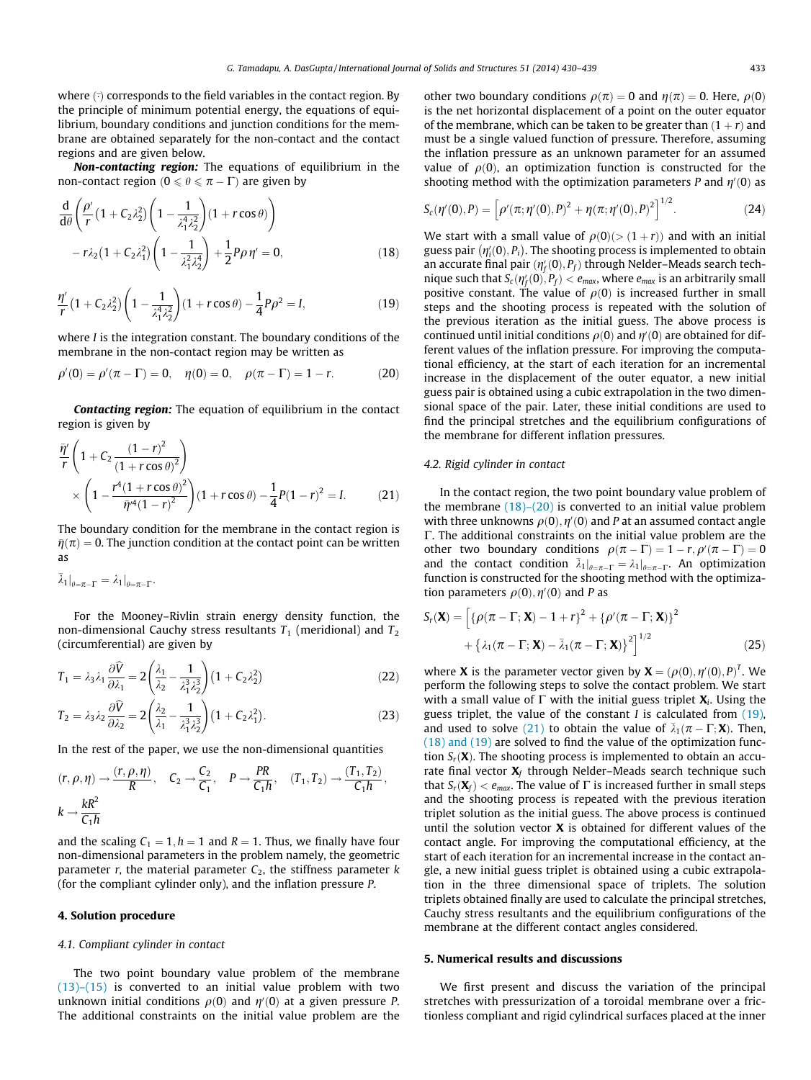where  $\left( \cdot\right)$  corresponds to the field variables in the contact region. By the principle of minimum potential energy, the equations of equilibrium, boundary conditions and junction conditions for the membrane are obtained separately for the non-contact and the contact regions and are given below.

Non-contacting region: The equations of equilibrium in the non-contact region ( $0 \le \theta \le \pi - \Gamma$ ) are given by

$$
\frac{d}{d\theta} \left( \frac{\rho'}{r} \left( 1 + C_2 \lambda_2^2 \right) \left( 1 - \frac{1}{\lambda_1^4 \lambda_2^2} \right) \left( 1 + r \cos \theta \right) \right) \n- r \lambda_2 \left( 1 + C_2 \lambda_1^2 \right) \left( 1 - \frac{1}{\lambda_1^2 \lambda_2^4} \right) + \frac{1}{2} P \rho \eta' = 0,
$$
\n(18)

$$
\frac{\eta'}{r} \left(1 + C_2 \lambda_2^2\right) \left(1 - \frac{1}{\lambda_1^4 \lambda_2^2}\right) \left(1 + r \cos \theta\right) - \frac{1}{4} P \rho^2 = I,\tag{19}
$$

where *I* is the integration constant. The boundary conditions of the membrane in the non-contact region may be written as

$$
\rho'(0) = \rho'(\pi - \Gamma) = 0, \quad \eta(0) = 0, \quad \rho(\pi - \Gamma) = 1 - r. \tag{20}
$$

**Contacting region:** The equation of equilibrium in the contact region is given by

$$
\frac{\bar{\eta}'}{r} \left( 1 + C_2 \frac{(1-r)^2}{(1+r\cos\theta)^2} \right) \times \left( 1 - \frac{r^4(1+r\cos\theta)^2}{\bar{\eta}'^4(1-r)^2} \right) (1+r\cos\theta) - \frac{1}{4} P(1-r)^2 = I. \tag{21}
$$

The boundary condition for the membrane in the contact region is  $\bar{\eta}(\pi) = 0$ . The junction condition at the contact point can be written as

$$
\bar{\lambda}_1|_{\theta=\pi-\Gamma}=\lambda_1|_{\theta=\pi-\Gamma}.
$$

For the Mooney–Rivlin strain energy density function, the non-dimensional Cauchy stress resultants  $T_1$  (meridional) and  $T_2$ (circumferential) are given by

$$
T_1 = \lambda_3 \lambda_1 \frac{\partial \widehat{V}}{\partial \lambda_1} = 2 \left( \frac{\lambda_1}{\lambda_2} - \frac{1}{\lambda_1^3 \lambda_2^3} \right) \left( 1 + C_2 \lambda_2^2 \right) \tag{22}
$$

$$
T_2 = \lambda_3 \lambda_2 \frac{\partial \widehat{V}}{\partial \lambda_2} = 2 \left( \frac{\lambda_2}{\lambda_1} - \frac{1}{\lambda_1^3 \lambda_2^3} \right) (1 + C_2 \lambda_1^2). \tag{23}
$$

In the rest of the paper, we use the non-dimensional quantities

$$
(r, \rho, \eta) \to \frac{(r, \rho, \eta)}{R}, \quad C_2 \to \frac{C_2}{C_1}, \quad P \to \frac{PR}{C_1h}, \quad (T_1, T_2) \to \frac{(T_1, T_2)}{C_1h},
$$

$$
k \to \frac{kR^2}{C_1h}
$$

and the scaling  $C_1 = 1$ ,  $h = 1$  and  $R = 1$ . Thus, we finally have four non-dimensional parameters in the problem namely, the geometric parameter r, the material parameter  $C_2$ , the stiffness parameter k (for the compliant cylinder only), and the inflation pressure P.

### 4. Solution procedure

#### 4.1. Compliant cylinder in contact

The two point boundary value problem of the membrane  $(13)$ – $(15)$  is converted to an initial value problem with two unknown initial conditions  $\rho(0)$  and  $\eta'(0)$  at a given pressure P. The additional constraints on the initial value problem are the other two boundary conditions  $\rho(\pi) = 0$  and  $\eta(\pi) = 0$ . Here,  $\rho(0)$ is the net horizontal displacement of a point on the outer equator of the membrane, which can be taken to be greater than  $(1 + r)$  and must be a single valued function of pressure. Therefore, assuming the inflation pressure as an unknown parameter for an assumed value of  $\rho(0)$ , an optimization function is constructed for the shooting method with the optimization parameters P and  $\eta'(0)$  as

$$
S_c(\eta'(0), P) = \left[\rho'(\pi; \eta'(0), P)^2 + \eta(\pi; \eta'(0), P)^2\right]^{1/2}.
$$
 (24)

We start with a small value of  $\rho(0)$ ( $>$  (1 + r)) and with an initial guess pair  $(\eta_i'(0), P_i)$ . The shooting process is implemented to obtain an accurate final pair  $(\eta_f'(0), P_f)$  through Nelder–Meads search technique such that  $S_c(\eta_f'(0), P_f) < e_{max}$ , where  $e_{max}$  is an arbitrarily small positive constant. The value of  $\rho(0)$  is increased further in small steps and the shooting process is repeated with the solution of the previous iteration as the initial guess. The above process is continued until initial conditions  $\rho(0)$  and  $\eta'(0)$  are obtained for different values of the inflation pressure. For improving the computational efficiency, at the start of each iteration for an incremental increase in the displacement of the outer equator, a new initial guess pair is obtained using a cubic extrapolation in the two dimensional space of the pair. Later, these initial conditions are used to find the principal stretches and the equilibrium configurations of the membrane for different inflation pressures.

## 4.2. Rigid cylinder in contact

In the contact region, the two point boundary value problem of the membrane (18)–(20) is converted to an initial value problem with three unknowns  $\rho(0), \eta'(0)$  and P at an assumed contact angle  $\Gamma$ . The additional constraints on the initial value problem are the other two boundary conditions  $\rho(\pi - \Gamma) = 1 - r, \rho'(\pi - \Gamma) = 0$ and the contact condition  $\bar{\lambda}_1|_{\theta=\pi-\Gamma} = \lambda_1|_{\theta=\pi-\Gamma}$ . An optimization function is constructed for the shooting method with the optimization parameters  $\rho(0)$ ,  $\eta'(0)$  and P as

$$
S_r(\mathbf{X}) = \left[ \{ \rho(\pi - \Gamma; \mathbf{X}) - 1 + r \}^2 + \{ \rho'(\pi - \Gamma; \mathbf{X}) \}^2 + \{ \lambda_1(\pi - \Gamma; \mathbf{X}) - \bar{\lambda}_1(\pi - \Gamma; \mathbf{X}) \}^2 \right]^{1/2}
$$
(25)

where **X** is the parameter vector given by **X** =  $(\rho(0), \eta'(0), P)^T$ . We perform the following steps to solve the contact problem. We start with a small value of  $\Gamma$  with the initial guess triplet  $X_i$ . Using the guess triplet, the value of the constant *I* is calculated from  $(19)$ , and used to solve (21) to obtain the value of  $\bar{\lambda}_1(\pi - \Gamma; \mathbf{X})$ . Then, (18) and (19) are solved to find the value of the optimization function  $S_r(\mathbf{X})$ . The shooting process is implemented to obtain an accurate final vector  $X_f$  through Nelder–Meads search technique such that  $S_r(\mathbf{X}_f) < e_{max}$ . The value of  $\Gamma$  is increased further in small steps and the shooting process is repeated with the previous iteration triplet solution as the initial guess. The above process is continued until the solution vector  $X$  is obtained for different values of the contact angle. For improving the computational efficiency, at the start of each iteration for an incremental increase in the contact angle, a new initial guess triplet is obtained using a cubic extrapolation in the three dimensional space of triplets. The solution triplets obtained finally are used to calculate the principal stretches, Cauchy stress resultants and the equilibrium configurations of the membrane at the different contact angles considered.

# 5. Numerical results and discussions

We first present and discuss the variation of the principal stretches with pressurization of a toroidal membrane over a frictionless compliant and rigid cylindrical surfaces placed at the inner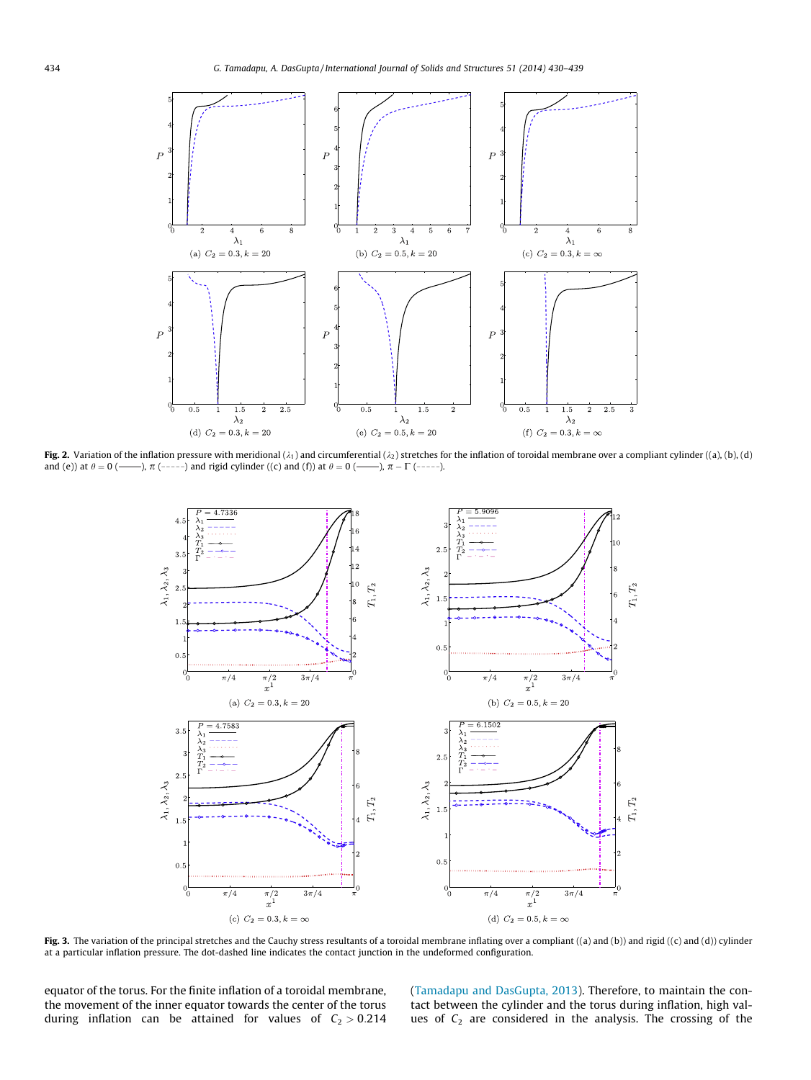

**Fig. 2.** Variation of the inflation pressure with meridional ( $\lambda_1$ ) and circumferential ( $\lambda_2$ ) stretches for the inflation of toroidal membrane over a compliant cylinder ((a), (b), (d) and rigid cylinder ((c) and (f)



Fig. 3. The variation of the principal stretches and the Cauchy stress resultants of a toroidal membrane inflating over a compliant ((a) and (b)) and rigid ((c) and (d)) cylinder at a particular inflation pressure. The dot-dashed line indicates the contact junction in the undeformed configuration.

equator of the torus. For the finite inflation of a toroidal membrane, the movement of the inner equator towards the center of the torus during inflation can be attained for values of  $C_2 > 0.214$ 

(Tamadapu and DasGupta, 2013). Therefore, to maintain the contact between the cylinder and the torus during inflation, high values of  $C_2$  are considered in the analysis. The crossing of the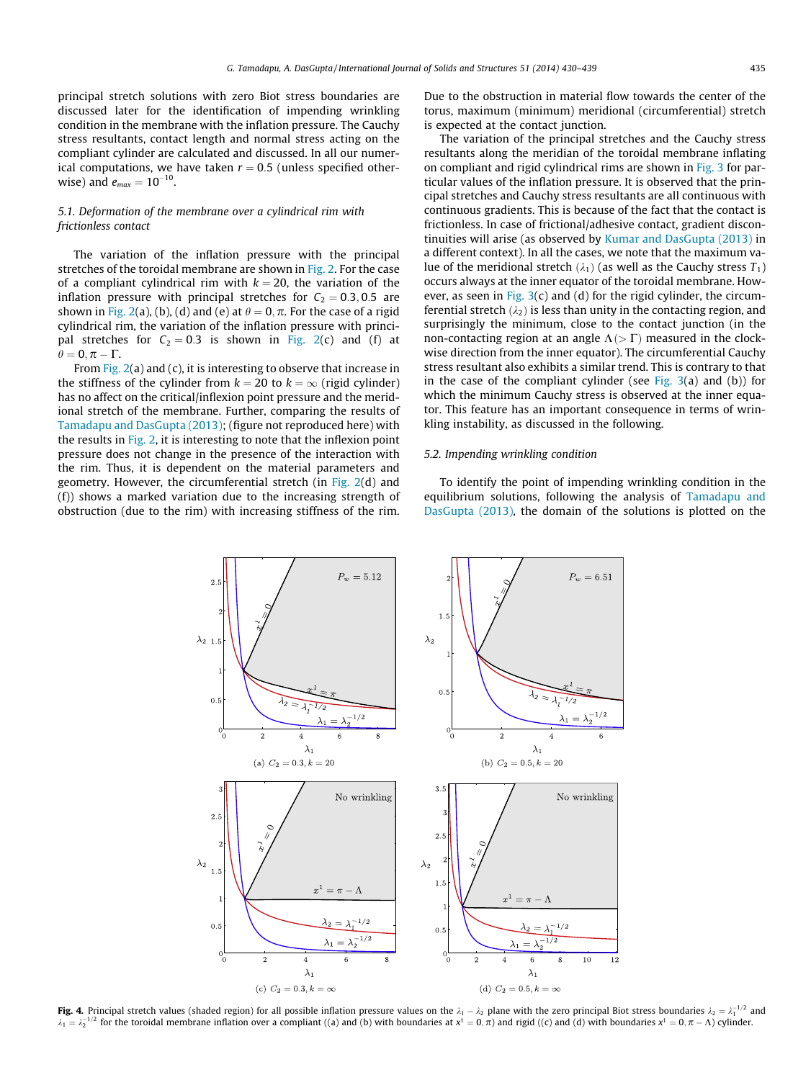principal stretch solutions with zero Biot stress boundaries are discussed later for the identification of impending wrinkling condition in the membrane with the inflation pressure. The Cauchy stress resultants, contact length and normal stress acting on the compliant cylinder are calculated and discussed. In all our numerical computations, we have taken  $r = 0.5$  (unless specified otherwise) and  $e_{max} = 10^{-10}$ .

# 5.1. Deformation of the membrane over a cylindrical rim with frictionless contact

The variation of the inflation pressure with the principal stretches of the toroidal membrane are shown in Fig. 2. For the case of a compliant cylindrical rim with  $k = 20$ , the variation of the inflation pressure with principal stretches for  $C_2 = 0.3, 0.5$  are shown in Fig. 2(a), (b), (d) and (e) at  $\theta = 0, \pi$ . For the case of a rigid cylindrical rim, the variation of the inflation pressure with principal stretches for  $C_2 = 0.3$  is shown in Fig. 2(c) and (f) at  $\theta = 0, \pi - \Gamma$ .

From Fig.  $2(a)$  and (c), it is interesting to observe that increase in the stiffness of the cylinder from  $k = 20$  to  $k = \infty$  (rigid cylinder) has no affect on the critical/inflexion point pressure and the meridional stretch of the membrane. Further, comparing the results of Tamadapu and DasGupta (2013); (figure not reproduced here) with the results in Fig. 2, it is interesting to note that the inflexion point pressure does not change in the presence of the interaction with the rim. Thus, it is dependent on the material parameters and geometry. However, the circumferential stretch (in Fig. 2(d) and (f)) shows a marked variation due to the increasing strength of obstruction (due to the rim) with increasing stiffness of the rim. Due to the obstruction in material flow towards the center of the torus, maximum (minimum) meridional (circumferential) stretch is expected at the contact junction.

The variation of the principal stretches and the Cauchy stress resultants along the meridian of the toroidal membrane inflating on compliant and rigid cylindrical rims are shown in Fig. 3 for particular values of the inflation pressure. It is observed that the principal stretches and Cauchy stress resultants are all continuous with continuous gradients. This is because of the fact that the contact is frictionless. In case of frictional/adhesive contact, gradient discontinuities will arise (as observed by Kumar and DasGupta (2013) in a different context). In all the cases, we note that the maximum value of the meridional stretch  $(\lambda_1)$  (as well as the Cauchy stress  $T_1$ ) occurs always at the inner equator of the toroidal membrane. However, as seen in Fig.  $3(c)$  and (d) for the rigid cylinder, the circumferential stretch  $(\lambda_2)$  is less than unity in the contacting region, and surprisingly the minimum, close to the contact junction (in the non-contacting region at an angle  $\Lambda$  ( $>$   $\Gamma$ ) measured in the clockwise direction from the inner equator). The circumferential Cauchy stress resultant also exhibits a similar trend. This is contrary to that in the case of the compliant cylinder (see Fig.  $3(a)$  and (b)) for which the minimum Cauchy stress is observed at the inner equator. This feature has an important consequence in terms of wrinkling instability, as discussed in the following.

## 5.2. Impending wrinkling condition

To identify the point of impending wrinkling condition in the equilibrium solutions, following the analysis of Tamadapu and DasGupta (2013), the domain of the solutions is plotted on the



**Fig. 4.** Principal stretch values (shaded region) for all possible inflation pressure values on the  $\lambda_1 - \lambda_2$  plane with the zero principal Biot stress boundaries  $\lambda_2 = \lambda_1^{-1/2}$  and  $\lambda_1 = \lambda_2^{-1/2}$  for the toroidal membrane inflation over a compliant ((a) and (b) with boundaries at  $x^1 = 0, \pi$ ) and rigid ((c) and (d) with boundaries  $x^1 = 0, \pi - \Lambda$ ) cylinder.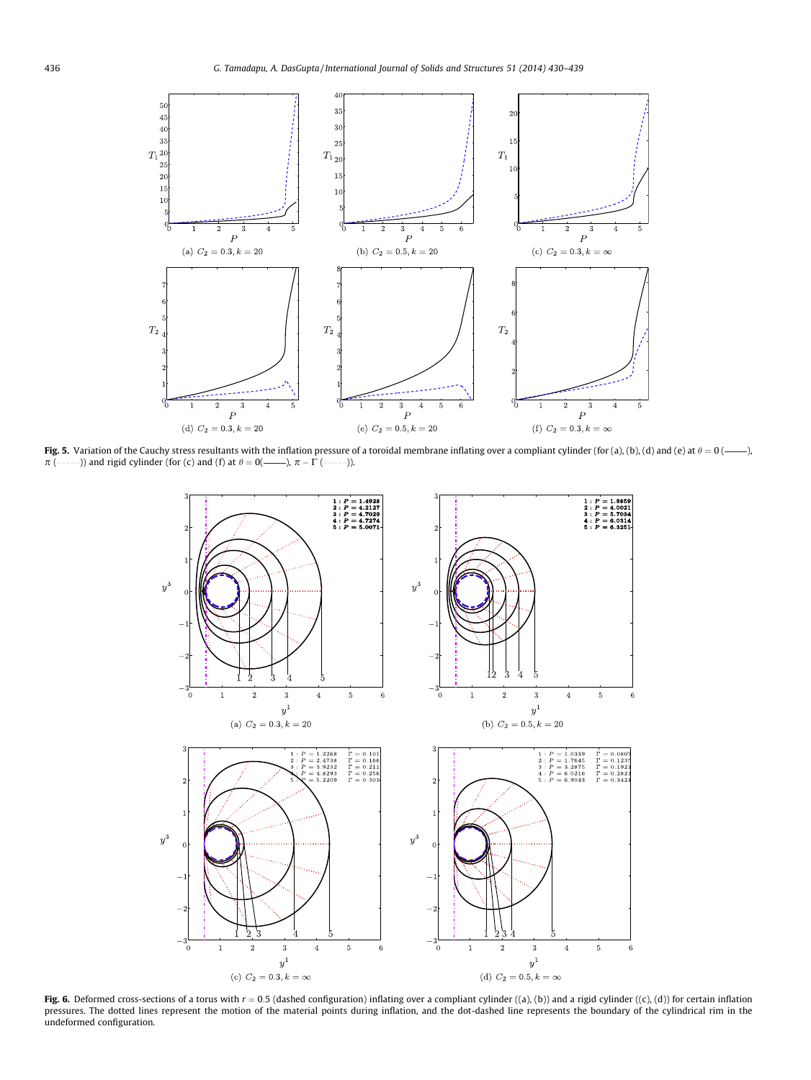

**Fig. 5.** Variation of the Cauchy stress resultants with the inflation pressure of a toroidal membrane inflating over a compliant cylinder (for (a), (b), (d) and (e) at  $\theta = 0$  (------)).<br> $\pi$  (-----)) and rigid cylinder



Fig. 6. Deformed cross-sections of a torus with  $r = 0.5$  (dashed configuration) inflating over a compliant cylinder ((a), (b)) and a rigid cylinder ((c), (d)) for certain inflation pressures. The dotted lines represent the motion of the material points during inflation, and the dot-dashed line represents the boundary of the cylindrical rim in the undeformed configuration.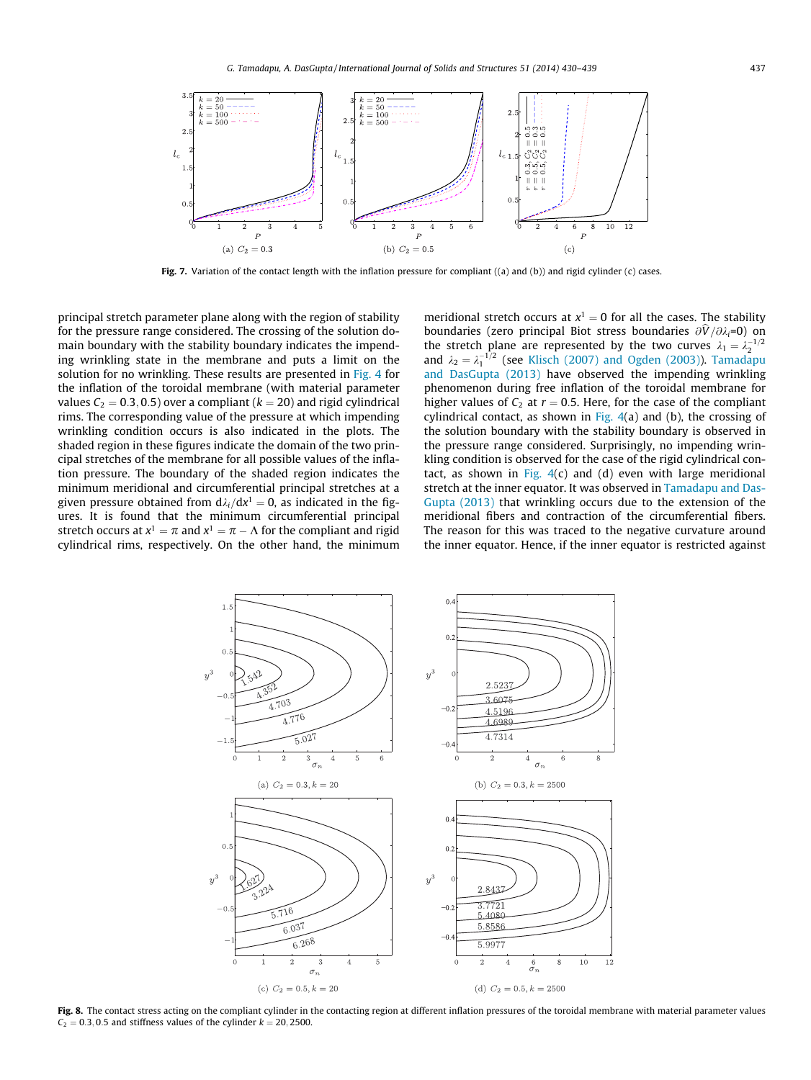

Fig. 7. Variation of the contact length with the inflation pressure for compliant  $((a)$  and  $(b))$  and rigid cylinder (c) cases.

principal stretch parameter plane along with the region of stability for the pressure range considered. The crossing of the solution domain boundary with the stability boundary indicates the impending wrinkling state in the membrane and puts a limit on the solution for no wrinkling. These results are presented in Fig. 4 for the inflation of the toroidal membrane (with material parameter values  $C_2 = 0.3, 0.5$ ) over a compliant ( $k = 20$ ) and rigid cylindrical rims. The corresponding value of the pressure at which impending wrinkling condition occurs is also indicated in the plots. The shaded region in these figures indicate the domain of the two principal stretches of the membrane for all possible values of the inflation pressure. The boundary of the shaded region indicates the minimum meridional and circumferential principal stretches at a given pressure obtained from  $d\lambda_i/dx^1 = 0$ , as indicated in the figures. It is found that the minimum circumferential principal stretch occurs at  $x^1 = \pi$  and  $x^1 = \pi - \Lambda$  for the compliant and rigid cylindrical rims, respectively. On the other hand, the minimum

meridional stretch occurs at  $x^1 = 0$  for all the cases. The stability boundaries (zero principal Biot stress boundaries  $\partial \hat{V}/\partial \lambda_i=0$ ) on the stretch plane are represented by the two curves  $\lambda_1 = \lambda_2^{-1/2}$ and  $\lambda_2 = \lambda_1^{-1/2}$  (see Klisch (2007) and Ogden (2003)). Tamadapu and DasGupta (2013) have observed the impending wrinkling phenomenon during free inflation of the toroidal membrane for higher values of  $C_2$  at  $r = 0.5$ . Here, for the case of the compliant cylindrical contact, as shown in Fig.  $4(a)$  and (b), the crossing of the solution boundary with the stability boundary is observed in the pressure range considered. Surprisingly, no impending wrinkling condition is observed for the case of the rigid cylindrical contact, as shown in Fig.  $4(c)$  and (d) even with large meridional stretch at the inner equator. It was observed in Tamadapu and Das-Gupta (2013) that wrinkling occurs due to the extension of the meridional fibers and contraction of the circumferential fibers. The reason for this was traced to the negative curvature around the inner equator. Hence, if the inner equator is restricted against



Fig. 8. The contact stress acting on the compliant cylinder in the contacting region at different inflation pressures of the toroidal membrane with material parameter values  $C_2 = 0.3, 0.5$  and stiffness values of the cylinder  $k = 20, 2500$ .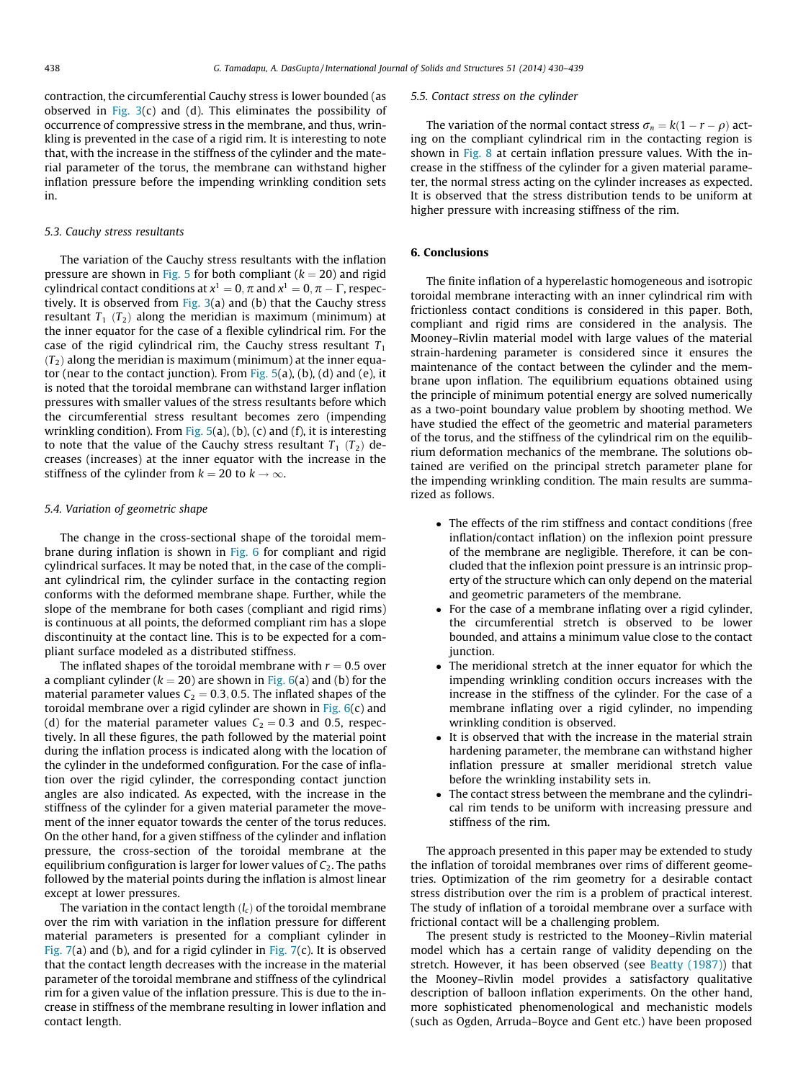contraction, the circumferential Cauchy stress is lower bounded (as observed in Fig. 3(c) and (d). This eliminates the possibility of occurrence of compressive stress in the membrane, and thus, wrinkling is prevented in the case of a rigid rim. It is interesting to note that, with the increase in the stiffness of the cylinder and the material parameter of the torus, the membrane can withstand higher inflation pressure before the impending wrinkling condition sets in.

### 5.3. Cauchy stress resultants

The variation of the Cauchy stress resultants with the inflation pressure are shown in Fig. 5 for both compliant ( $k = 20$ ) and rigid cylindrical contact conditions at  $x^1 = 0$ ,  $\pi$  and  $x^1 = 0$ ,  $\pi - \Gamma$ , respectively. It is observed from Fig.  $3(a)$  and (b) that the Cauchy stress resultant  $T_1$  ( $T_2$ ) along the meridian is maximum (minimum) at the inner equator for the case of a flexible cylindrical rim. For the case of the rigid cylindrical rim, the Cauchy stress resultant  $T_1$  $(T<sub>2</sub>)$  along the meridian is maximum (minimum) at the inner equator (near to the contact junction). From Fig.  $5(a)$ , (b), (d) and (e), it is noted that the toroidal membrane can withstand larger inflation pressures with smaller values of the stress resultants before which the circumferential stress resultant becomes zero (impending wrinkling condition). From Fig.  $5(a)$ , (b), (c) and (f), it is interesting to note that the value of the Cauchy stress resultant  $T_1$   $(T_2)$  decreases (increases) at the inner equator with the increase in the stiffness of the cylinder from  $k = 20$  to  $k \rightarrow \infty$ .

### 5.4. Variation of geometric shape

The change in the cross-sectional shape of the toroidal membrane during inflation is shown in Fig. 6 for compliant and rigid cylindrical surfaces. It may be noted that, in the case of the compliant cylindrical rim, the cylinder surface in the contacting region conforms with the deformed membrane shape. Further, while the slope of the membrane for both cases (compliant and rigid rims) is continuous at all points, the deformed compliant rim has a slope discontinuity at the contact line. This is to be expected for a compliant surface modeled as a distributed stiffness.

The inflated shapes of the toroidal membrane with  $r = 0.5$  over a compliant cylinder ( $k = 20$ ) are shown in Fig. 6(a) and (b) for the material parameter values  $C_2 = 0.3, 0.5$ . The inflated shapes of the toroidal membrane over a rigid cylinder are shown in Fig.  $6(c)$  and (d) for the material parameter values  $C_2 = 0.3$  and 0.5, respectively. In all these figures, the path followed by the material point during the inflation process is indicated along with the location of the cylinder in the undeformed configuration. For the case of inflation over the rigid cylinder, the corresponding contact junction angles are also indicated. As expected, with the increase in the stiffness of the cylinder for a given material parameter the movement of the inner equator towards the center of the torus reduces. On the other hand, for a given stiffness of the cylinder and inflation pressure, the cross-section of the toroidal membrane at the equilibrium configuration is larger for lower values of  $C_2$ . The paths followed by the material points during the inflation is almost linear except at lower pressures.

The variation in the contact length  $(l_c)$  of the toroidal membrane over the rim with variation in the inflation pressure for different material parameters is presented for a compliant cylinder in Fig. 7(a) and (b), and for a rigid cylinder in Fig. 7(c). It is observed that the contact length decreases with the increase in the material parameter of the toroidal membrane and stiffness of the cylindrical rim for a given value of the inflation pressure. This is due to the increase in stiffness of the membrane resulting in lower inflation and contact length.

#### 5.5. Contact stress on the cylinder

The variation of the normal contact stress  $\sigma_n = k(1 - r - \rho)$  acting on the compliant cylindrical rim in the contacting region is shown in Fig. 8 at certain inflation pressure values. With the increase in the stiffness of the cylinder for a given material parameter, the normal stress acting on the cylinder increases as expected. It is observed that the stress distribution tends to be uniform at higher pressure with increasing stiffness of the rim.

# 6. Conclusions

The finite inflation of a hyperelastic homogeneous and isotropic toroidal membrane interacting with an inner cylindrical rim with frictionless contact conditions is considered in this paper. Both, compliant and rigid rims are considered in the analysis. The Mooney–Rivlin material model with large values of the material strain-hardening parameter is considered since it ensures the maintenance of the contact between the cylinder and the membrane upon inflation. The equilibrium equations obtained using the principle of minimum potential energy are solved numerically as a two-point boundary value problem by shooting method. We have studied the effect of the geometric and material parameters of the torus, and the stiffness of the cylindrical rim on the equilibrium deformation mechanics of the membrane. The solutions obtained are verified on the principal stretch parameter plane for the impending wrinkling condition. The main results are summarized as follows.

- The effects of the rim stiffness and contact conditions (free inflation/contact inflation) on the inflexion point pressure of the membrane are negligible. Therefore, it can be concluded that the inflexion point pressure is an intrinsic property of the structure which can only depend on the material and geometric parameters of the membrane.
- For the case of a membrane inflating over a rigid cylinder, the circumferential stretch is observed to be lower bounded, and attains a minimum value close to the contact junction.
- The meridional stretch at the inner equator for which the impending wrinkling condition occurs increases with the increase in the stiffness of the cylinder. For the case of a membrane inflating over a rigid cylinder, no impending wrinkling condition is observed.
- It is observed that with the increase in the material strain hardening parameter, the membrane can withstand higher inflation pressure at smaller meridional stretch value before the wrinkling instability sets in.
- The contact stress between the membrane and the cylindrical rim tends to be uniform with increasing pressure and stiffness of the rim.

The approach presented in this paper may be extended to study the inflation of toroidal membranes over rims of different geometries. Optimization of the rim geometry for a desirable contact stress distribution over the rim is a problem of practical interest. The study of inflation of a toroidal membrane over a surface with frictional contact will be a challenging problem.

The present study is restricted to the Mooney–Rivlin material model which has a certain range of validity depending on the stretch. However, it has been observed (see Beatty (1987)) that the Mooney–Rivlin model provides a satisfactory qualitative description of balloon inflation experiments. On the other hand, more sophisticated phenomenological and mechanistic models (such as Ogden, Arruda–Boyce and Gent etc.) have been proposed